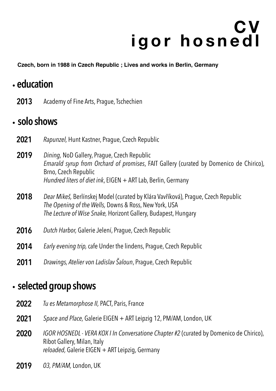# **C V igor hosnedl**

**Czech, born in 1988 in Czech Republic ; Lives and works in Berlin, Germany**

## .**education**

**2013** Academy of Fine Arts, Prague, Tschechien

### .**solo shows**

- **2021** *Rapunzel,* Hunt Kastner, Prague, Czech Republic
- **2019** *Dining,* NoD Gallery, Prague, Czech Republic *Emarald syrup from Orchard of promises*, FAIT Gallery (curated by Domenico de Chirico), Brno, Czech Republic *Hundred liters of diet ink*, EIGEN + ART Lab, Berlin, Germany
- **2018** *Dear Mikeš,* Berlínskej Model (curated by Klára Vavříková), Prague, Czech Republic *The Opening of the Wells,* Downs & Ross, New York, USA *The Lecture of Wise Snake,* Horizont Gallery, Budapest, Hungary
- **2016** *Dutch Harbor,* Galerie Jelení, Prague, Czech Republic
- **2014** *Early evening trip,* cafe Under the lindens, Prague, Czech Republic
- **2011** *Drawings, Atelier von Ladislav Šaloun*, Prague, Czech Republic

#### .**selected group shows**

- **2022** *Tu es Metamorphose II,* PACT, Paris, France
- **2021** *Space and Place,* Galerie EIGEN + ART Leipzig 12, PM/AM, London, UK
- **2020** *IGOR HOSNEDL VERA KOX I In Conversatione Chapter #2* (curated by Domenico de Chirico), Ribot Gallery, Milan, Italy *reloaded,* Galerie EIGEN + ART Leipzig, Germany
- **2019** *03, PM/AM,* London, UK